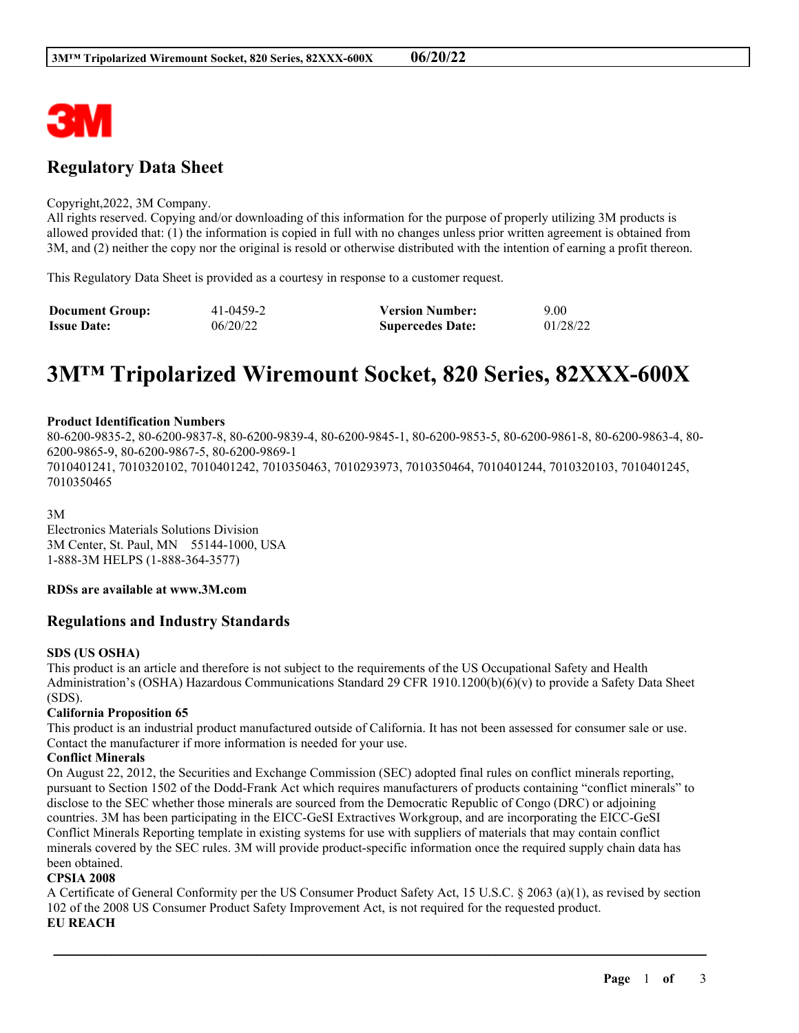

## **Regulatory Data Sheet**

#### Copyright,2022, 3M Company.

All rights reserved. Copying and/or downloading of this information for the purpose of properly utilizing 3M products is allowed provided that: (1) the information is copied in full with no changes unless prior written agreement is obtained from 3M, and (2) neither the copy nor the original is resold or otherwise distributed with the intention of earning a profit thereon.

This Regulatory Data Sheet is provided as a courtesy in response to a customer request.

| <b>Document Group:</b> | 41-0459-2 | <b>Version Number:</b>  | 9.00     |
|------------------------|-----------|-------------------------|----------|
| <b>Issue Date:</b>     | 06/20/22  | <b>Supercedes Date:</b> | 01/28/22 |

# **3M™ Tripolarized Wiremount Socket, 820 Series, 82XXX-600X**

#### **Product Identification Numbers**

80-6200-9835-2, 80-6200-9837-8, 80-6200-9839-4, 80-6200-9845-1, 80-6200-9853-5, 80-6200-9861-8, 80-6200-9863-4, 80- 6200-9865-9, 80-6200-9867-5, 80-6200-9869-1 7010401241, 7010320102, 7010401242, 7010350463, 7010293973, 7010350464, 7010401244, 7010320103, 7010401245, 7010350465

3M

Electronics Materials Solutions Division 3M Center, St. Paul, MN 55144-1000, USA 1-888-3M HELPS (1-888-364-3577)

#### **RDSs are available at www.3M.com**

#### **Regulations and Industry Standards**

#### **SDS (US OSHA)**

This product is an article and therefore is not subject to the requirements of the US Occupational Safety and Health Administration's (OSHA) Hazardous Communications Standard 29 CFR 1910.1200(b)(6)(v) to provide a Safety Data Sheet (SDS).

#### **California Proposition 65**

This product is an industrial product manufactured outside of California. It has not been assessed for consumer sale or use. Contact the manufacturer if more information is needed for your use.

#### **Conflict Minerals**

On August 22, 2012, the Securities and Exchange Commission (SEC) adopted final rules on conflict minerals reporting, pursuant to Section 1502 of the Dodd-Frank Act which requires manufacturers of products containing "conflict minerals" to disclose to the SEC whether those minerals are sourced from the Democratic Republic of Congo (DRC) or adjoining countries. 3M has been participating in the EICC-GeSI Extractives Workgroup, and are incorporating the EICC-GeSI Conflict Minerals Reporting template in existing systems for use with suppliers of materials that may contain conflict minerals covered by the SEC rules. 3M will provide product-specific information once the required supply chain data has been obtained.

#### **CPSIA 2008**

A Certificate of General Conformity per the US Consumer Product Safety Act, 15 U.S.C. § 2063 (a)(1), as revised by section 102 of the 2008 US Consumer Product Safety Improvement Act, is not required for the requested product. **EU REACH**

\_\_\_\_\_\_\_\_\_\_\_\_\_\_\_\_\_\_\_\_\_\_\_\_\_\_\_\_\_\_\_\_\_\_\_\_\_\_\_\_\_\_\_\_\_\_\_\_\_\_\_\_\_\_\_\_\_\_\_\_\_\_\_\_\_\_\_\_\_\_\_\_\_\_\_\_\_\_\_\_\_\_\_\_\_\_\_\_\_\_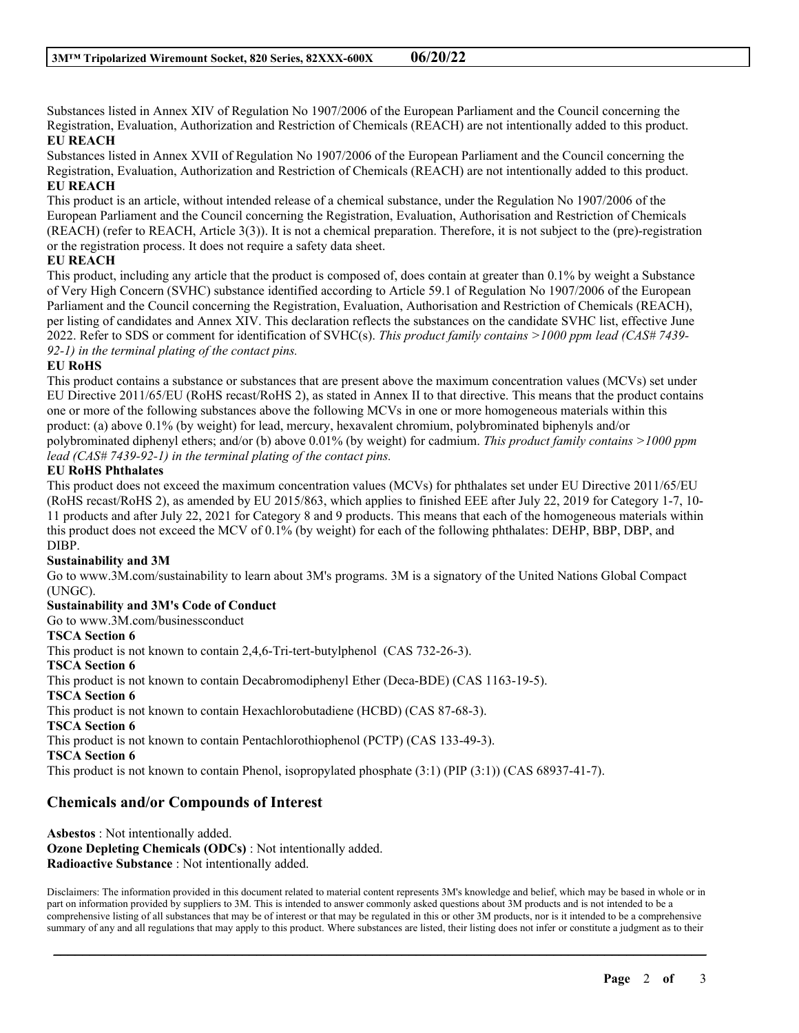Substances listed in Annex XIV of Regulation No 1907/2006 of the European Parliament and the Council concerning the Registration, Evaluation, Authorization and Restriction of Chemicals (REACH) are not intentionally added to this product. **EU REACH**

Substances listed in Annex XVII of Regulation No 1907/2006 of the European Parliament and the Council concerning the Registration, Evaluation, Authorization and Restriction of Chemicals (REACH) are not intentionally added to this product. **EU REACH**

This product is an article, without intended release of a chemical substance, under the Regulation No 1907/2006 of the European Parliament and the Council concerning the Registration, Evaluation, Authorisation and Restriction of Chemicals (REACH) (refer to REACH, Article 3(3)). It is not a chemical preparation. Therefore, it is not subject to the (pre)-registration or the registration process. It does not require a safety data sheet.

#### **EU REACH**

This product, including any article that the product is composed of, does contain at greater than 0.1% by weight a Substance of Very High Concern (SVHC) substance identified according to Article 59.1 of Regulation No 1907/2006 of the European Parliament and the Council concerning the Registration, Evaluation, Authorisation and Restriction of Chemicals (REACH), per listing of candidates and Annex XIV. This declaration reflects the substances on the candidate SVHC list, effective June 2022. Refer to SDS or comment for identification of SVHC(s). *This product family contains >1000 ppm lead (CAS# 7439- 92-1) in the terminal plating of the contact pins.*

#### **EU RoHS**

This product contains a substance or substances that are present above the maximum concentration values (MCVs) set under EU Directive 2011/65/EU (RoHS recast/RoHS 2), as stated in Annex II to that directive. This means that the product contains one or more of the following substances above the following MCVs in one or more homogeneous materials within this product: (a) above 0.1% (by weight) for lead, mercury, hexavalent chromium, polybrominated biphenyls and/or polybrominated diphenyl ethers; and/or (b) above 0.01% (by weight) for cadmium. *This product family contains >1000 ppm lead (CAS# 7439-92-1) in the terminal plating of the contact pins.*

#### **EU RoHS Phthalates**

This product does not exceed the maximum concentration values (MCVs) for phthalates set under EU Directive 2011/65/EU (RoHS recast/RoHS 2), as amended by EU 2015/863, which applies to finished EEE after July 22, 2019 for Category 1-7, 10- 11 products and after July 22, 2021 for Category 8 and 9 products. This means that each of the homogeneous materials within this product does not exceed the MCV of 0.1% (by weight) for each of the following phthalates: DEHP, BBP, DBP, and DIBP.

#### **Sustainability and 3M**

Go to www.3M.com/sustainability to learn about 3M's programs. 3M is a signatory of the United Nations Global Compact (UNGC).

#### **Sustainability and 3M's Code of Conduct**

Go to www.3M.com/businessconduct

#### **TSCA Section 6**

This product is not known to contain 2,4,6-Tri-tert-butylphenol (CAS 732-26-3). **TSCA Section 6** This product is not known to contain Decabromodiphenyl Ether (Deca-BDE) (CAS 1163-19-5). **TSCA Section 6** This product is not known to contain Hexachlorobutadiene (HCBD) (CAS 87-68-3). **TSCA Section 6** This product is not known to contain Pentachlorothiophenol (PCTP) (CAS 133-49-3). **TSCA Section 6** This product is not known to contain Phenol, isopropylated phosphate (3:1) (PIP (3:1)) (CAS 68937-41-7).

### **Chemicals and/or Compounds of Interest**

**Asbestos** : Not intentionally added. **Ozone Depleting Chemicals (ODCs)** : Not intentionally added. **Radioactive Substance** : Not intentionally added.

Disclaimers: The information provided in this document related to material content represents 3M's knowledge and belief, which may be based in whole or in part on information provided by suppliers to 3M. This is intended to answer commonly asked questions about 3M products and is not intended to be a comprehensive listing of all substances that may be of interest or that may be regulated in this or other 3M products, nor is it intended to be a comprehensive summary of any and all regulations that may apply to this product. Where substances are listed, their listing does not infer or constitute a judgment as to their

\_\_\_\_\_\_\_\_\_\_\_\_\_\_\_\_\_\_\_\_\_\_\_\_\_\_\_\_\_\_\_\_\_\_\_\_\_\_\_\_\_\_\_\_\_\_\_\_\_\_\_\_\_\_\_\_\_\_\_\_\_\_\_\_\_\_\_\_\_\_\_\_\_\_\_\_\_\_\_\_\_\_\_\_\_\_\_\_\_\_